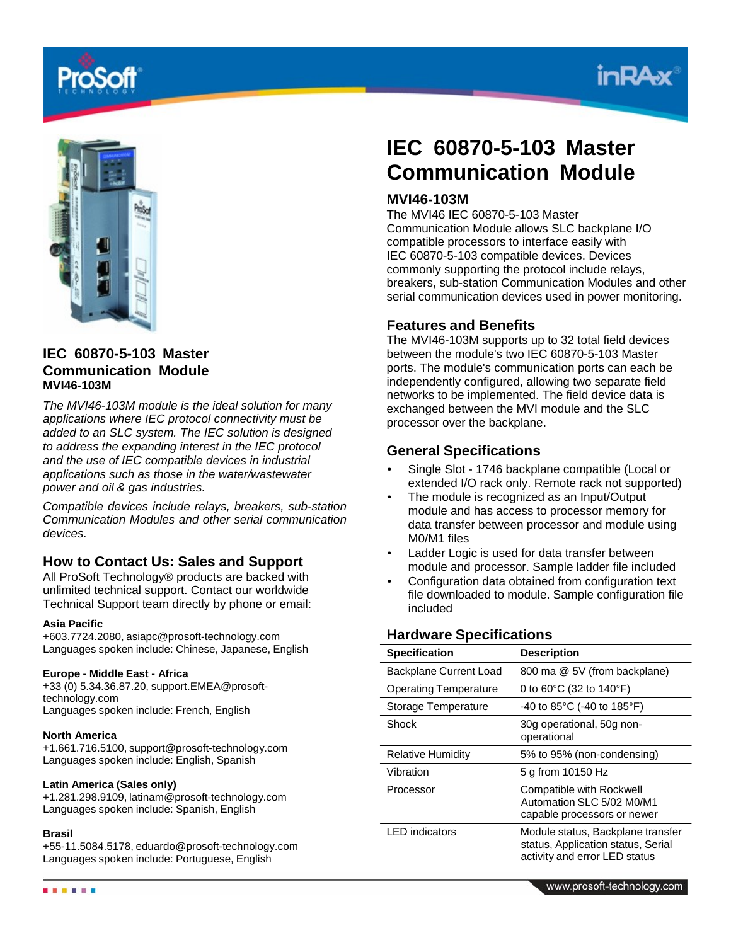



# **IEC 60870-5-103 Master Communication Module MVI46-103M**

*The MVI46-103M module is the ideal solution for many applications where IEC protocol connectivity must be added to an SLC system. The IEC solution is designed to address the expanding interest in the IEC protocol and the use of IEC compatible devices in industrial applications such as those in the water/wastewater power and oil & gas industries.*

*Compatible devices include relays, breakers, sub-station Communication Modules and other serial communication devices.*

# **How to Contact Us: Sales and Support**

All ProSoft Technology® products are backed with unlimited technical support. Contact our worldwide Technical Support team directly by phone or email:

### **Asia Pacific**

+603.7724.2080, asiapc@prosoft-technology.com Languages spoken include: Chinese, Japanese, English

### **Europe - Middle East - Africa**

+33 (0) 5.34.36.87.20, support.EMEA@prosofttechnology.com Languages spoken include: French, English

### **North America**

+1.661.716.5100, support@prosoft-technology.com Languages spoken include: English, Spanish

### **Latin America (Sales only)**

+1.281.298.9109, latinam@prosoft-technology.com Languages spoken include: Spanish, English

### **Brasil**

+55-11.5084.5178, eduardo@prosoft-technology.com Languages spoken include: Portuguese, English

# **IEC 60870-5-103 Master Communication Module**

# **MVI46-103M**

The MVI46 IEC 60870-5-103 Master Communication Module allows SLC backplane I/O compatible processors to interface easily with IEC 60870-5-103 compatible devices. Devices commonly supporting the protocol include relays, breakers, sub-station Communication Modules and other serial communication devices used in power monitoring.

# **Features and Benefits**

The MVI46-103M supports up to 32 total field devices between the module's two IEC 60870-5-103 Master ports. The module's communication ports can each be independently configured, allowing two separate field networks to be implemented. The field device data is exchanged between the MVI module and the SLC processor over the backplane.

# **General Specifications**

- Single Slot 1746 backplane compatible (Local or extended I/O rack only. Remote rack not supported)
- The module is recognized as an Input/Output module and has access to processor memory for data transfer between processor and module using M0/M1 files
- Ladder Logic is used for data transfer between module and processor. Sample ladder file included
- Configuration data obtained from configuration text file downloaded to module. Sample configuration file included

# **Hardware Specifications**

| <b>Specification</b>          | <b>Description</b>                                                                                       |
|-------------------------------|----------------------------------------------------------------------------------------------------------|
| <b>Backplane Current Load</b> | 800 ma @ 5V (from backplane)                                                                             |
| <b>Operating Temperature</b>  | 0 to $60^{\circ}$ C (32 to 140 $^{\circ}$ F)                                                             |
| Storage Temperature           | -40 to 85°C (-40 to 185°F)                                                                               |
| Shock                         | 30g operational, 50g non-<br>operational                                                                 |
| <b>Relative Humidity</b>      | 5% to 95% (non-condensing)                                                                               |
| Vibration                     | 5 g from 10150 Hz                                                                                        |
| Processor                     | <b>Compatible with Rockwell</b><br>Automation SLC 5/02 M0/M1<br>capable processors or newer              |
| LED indicators                | Module status, Backplane transfer<br>status, Application status, Serial<br>activity and error LED status |